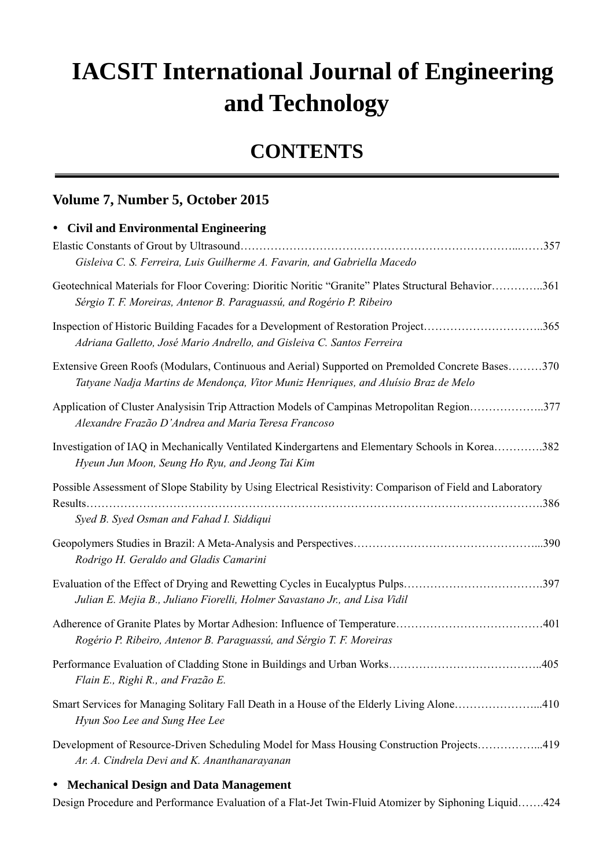## **IACSIT International Journal of Engineering and Technology**

## **CONTENTS**

## **Volume 7, Number 5, October 2015**

| • Civil and Environmental Engineering                                                                                                                                                  |
|----------------------------------------------------------------------------------------------------------------------------------------------------------------------------------------|
| Gisleiva C. S. Ferreira, Luis Guilherme A. Favarin, and Gabriella Macedo                                                                                                               |
| Geotechnical Materials for Floor Covering: Dioritic Noritic "Granite" Plates Structural Behavior361<br>Sérgio T. F. Moreiras, Antenor B. Paraguassú, and Rogério P. Ribeiro            |
| Inspection of Historic Building Facades for a Development of Restoration Project365<br>Adriana Galletto, José Mario Andrello, and Gisleiva C. Santos Ferreira                          |
| Extensive Green Roofs (Modulars, Continuous and Aerial) Supported on Premolded Concrete Bases370<br>Tatyane Nadja Martins de Mendonça, Vitor Muniz Henriques, and Aluísio Braz de Melo |
| Application of Cluster Analysisin Trip Attraction Models of Campinas Metropolitan Region377<br>Alexandre Frazão D'Andrea and Maria Teresa Francoso                                     |
| Investigation of IAQ in Mechanically Ventilated Kindergartens and Elementary Schools in Korea382<br>Hyeun Jun Moon, Seung Ho Ryu, and Jeong Tai Kim                                    |
| Possible Assessment of Slope Stability by Using Electrical Resistivity: Comparison of Field and Laboratory<br>Syed B. Syed Osman and Fahad I. Siddiqui                                 |
| Rodrigo H. Geraldo and Gladis Camarini                                                                                                                                                 |
| Evaluation of the Effect of Drying and Rewetting Cycles in Eucalyptus Pulps397<br>Julian E. Mejia B., Juliano Fiorelli, Holmer Savastano Jr., and Lisa Vidil                           |
| Rogério P. Ribeiro, Antenor B. Paraguassú, and Sérgio T. F. Moreiras                                                                                                                   |
| Flain E., Righi R., and Frazão E.                                                                                                                                                      |
| Smart Services for Managing Solitary Fall Death in a House of the Elderly Living Alone410<br>Hyun Soo Lee and Sung Hee Lee                                                             |
| Development of Resource-Driven Scheduling Model for Mass Housing Construction Projects419<br>Ar. A. Cindrela Devi and K. Ananthanarayanan                                              |
|                                                                                                                                                                                        |

## y **Mechanical Design and Data Management**

Design Procedure and Performance Evaluation of a Flat-Jet Twin-Fluid Atomizer by Siphoning Liquid…….424